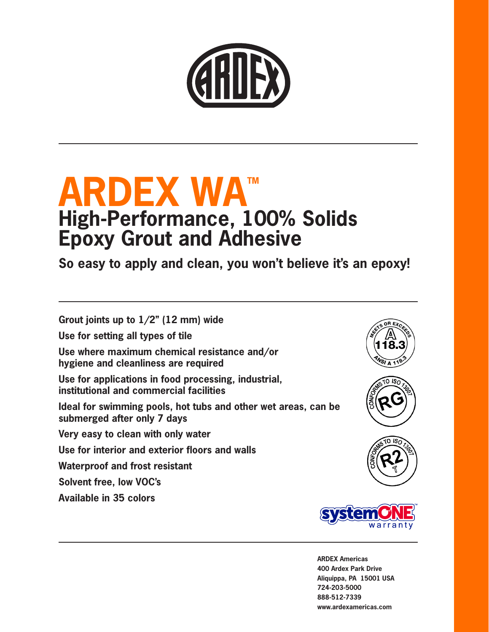

# **ARDEX WAT High-Performance, 100% Solids Epoxy Grout and Adhesive**

**So easy to apply and clean, you won't believe it's an epoxy!**

**Grout joints up to 1/2" (12 mm) wide**

**Use for setting all types of tile** 

**Use where maximum chemical resistance and/or hygiene and cleanliness are required**

**Use for applications in food processing, industrial, institutional and commercial facilities**

**Ideal for swimming pools, hot tubs and other wet areas, can be submerged after only 7 days**

**Very easy to clean with only water** 

**Use for interior and exterior floors and walls** 

**Waterproof and frost resistant**

**Solvent free, low VOC's**

**Available in 35 colors**









**ARDEX Americas 400 Ardex Park Drive Aliquippa, PA 15001 USA 724-203-5000 888-512-7339 www.ardexamericas.com**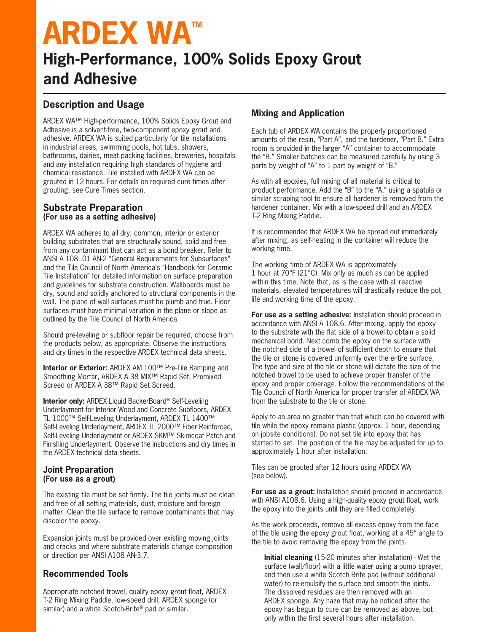# **ARDEX WA™ High-Performance, 100% Solids Epoxy Grout and Adhesive**

# **Description and Usage**

ARDEX WA™ High-performance, 100% Solids Epoxy Grout and Adhesive is a solvent-free, two-component epoxy grout and adhesive. ARDEX WA is suited particularly for tile installations in industrial areas, swimming pools, hot tubs, showers, bathrooms, dairies, meat packing facilities, breweries, hospitals and any installation requiring high standards of hygiene and chemical resistance. Tile installed with ARDEX WA can be grouted in 12 hours. For details on required cure times after grouting, see Cure Times section.

#### **Substrate Preparation (For use as a setting adhesive)**

ARDEX WA adheres to all dry, common, interior or exterior building substrates that are structurally sound, solid and free from any contaminant that can act as a bond breaker. Refer to ANSI A 108 .01 AN-2 "General Requirements for Subsurfaces" and the Tile Council of North America's "Handbook for Ceramic Tile Installation" for detailed information on surface preparation and guidelines for substrate construction. Wallboards must be dry, sound and solidly anchored to structural components in the wall. The plane of wall surfaces must be plumb and true. Floor surfaces must have minimal variation in the plane or slope as outlined by the Tile Council of North America.

Should pre-leveling or subfloor repair be required, choose from the products below, as appropriate. Observe the instructions and dry times in the respective ARDEX technical data sheets.

**Interior or Exterior:** ARDEX AM 100™ Pre-Tile Ramping and Smoothing Mortar, ARDEX A 38 MIX™ Rapid Set, Premixed Screed or ARDEX A 38™ Rapid Set Screed.

**Interior only:** ARDEX Liquid BackerBoard® Self-Leveling Underlayment for Interior Wood and Concrete Subfloors, ARDEX TL 1000™ Self-Leveling Underlayment, ARDEX TL 1400™ Self-Leveling Underlayment, ARDEX TL 2000™ Fiber Reinforced, Self-Leveling Underlayment or ARDEX SKM™ Skimcoat Patch and Finishing Underlayment. Observe the instructions and dry times in the ARDEX technical data sheets.

#### **Joint Preparation (For use as a grout)**

The existing tile must be set firmly. The tile joints must be clean and free of all setting materials, dust, moisture and foreign matter. Clean the tile surface to remove contaminants that may discolor the epoxy.

Expansion joints must be provided over existing moving joints and cracks and where substrate materials change composition or direction per ANSI A108 AN-3.7.

### **Recommended Tools**

Appropriate notched trowel, quality epoxy grout float, ARDEX T-2 Ring Mixing Paddle, low-speed drill, ARDEX sponge (or similar) and a white Scotch-Brite® pad or similar.

# **Mixing and Application**

Each tub of ARDEX WA contains the properly proportioned amounts of the resin, "Part A", and the hardener, "Part B." Extra room is provided in the larger "A" container to accommodate the "B." Smaller batches can be measured carefully by using 3 parts by weight of "A" to 1 part by weight of "B."

As with all epoxies, full mixing of all material is critical to product performance. Add the "B" to the "A," using a spatula or similar scraping tool to ensure all hardener is removed from the hardener container. Mix with a low-speed drill and an ARDEX T-2 Ring Mixing Paddle.

It is recommended that ARDEX WA be spread out immediately after mixing, as self-heating in the container will reduce the working time.

The working time of ARDEX WA is approximately 1 hour at 70°F (21°C). Mix only as much as can be applied within this time. Note that, as is the case with all reactive materials, elevated temperatures will drastically reduce the pot life and working time of the epoxy.

**For use as a setting adhesive:** Installation should proceed in accordance with ANSI A 108.6. After mixing, apply the epoxy to the substrate with the flat side of a trowel to obtain a solid mechanical bond. Next comb the epoxy on the surface with the notched side of a trowel of sufficient depth to ensure that the tile or stone is covered uniformly over the entire surface. The type and size of the tile or stone will dictate the size of the notched trowel to be used to achieve proper transfer of the epoxy and proper coverage. Follow the recommendations of the Tile Council of North America for proper transfer of ARDEX WA from the substrate to the tile or stone.

Apply to an area no greater than that which can be covered with tile while the epoxy remains plastic (approx. 1 hour, depending on jobsite conditions). Do not set tile into epoxy that has started to set. The position of the tile may be adjusted for up to approximately 1 hour after installation.

Tiles can be grouted after 12 hours using ARDEX WA (see below).

**For use as a grout:** Installation should proceed in accordance with ANSI A108.6. Using a high-quality epoxy grout float, work the epoxy into the joints until they are filled completely.

As the work proceeds, remove all excess epoxy from the face of the tile using the epoxy grout float, working at a 45° angle to the tile to avoid removing the epoxy from the joints.

**Initial cleaning** (15-20 minutes after installation) - Wet the surface (wall/floor) with a little water using a pump sprayer, and then use a white Scotch Brite pad (without additional water) to re-emulsify the surface and smooth the joints. The dissolved residues are then removed with an ARDEX sponge. Any haze that may be noticed after the epoxy has begun to cure can be removed as above, but only within the first several hours after installation.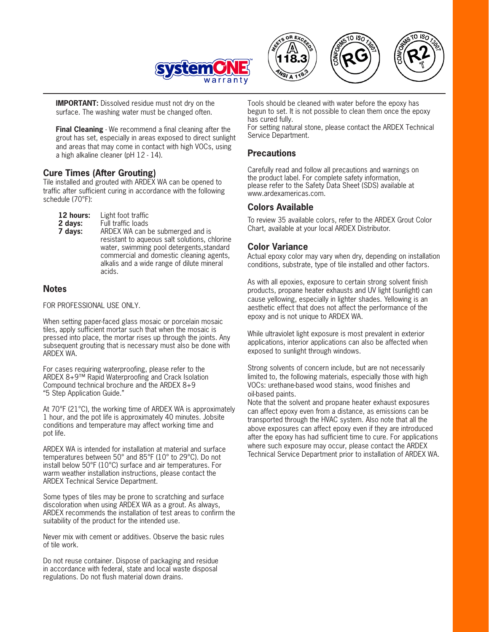

**IMPORTANT:** Dissolved residue must not dry on the surface. The washing water must be changed often.

**Final Cleaning** - We recommend a final cleaning after the grout has set, especially in areas exposed to direct sunlight and areas that may come in contact with high VOCs, using a high alkaline cleaner (pH 12 - 14).

#### **Cure Times (After Grouting)**

Tile installed and grouted with ARDEX WA can be opened to traffic after sufficient curing in accordance with the following schedule (70°F):

| 12 hours:<br>2 days:<br>7 days: | Light foot traffic<br>Full traffic loads<br>ARDEX WA can be submerged and is<br>resistant to aqueous salt solutions, chlorine<br>water, swimming pool detergents, standard<br>commercial and domestic cleaning agents, |
|---------------------------------|------------------------------------------------------------------------------------------------------------------------------------------------------------------------------------------------------------------------|
|                                 | alkalis and a wide range of dilute mineral<br>acids.                                                                                                                                                                   |

#### **Notes**

FOR PROFESSIONAL USE ONLY.

When setting paper-faced glass mosaic or porcelain mosaic tiles, apply sufficient mortar such that when the mosaic is pressed into place, the mortar rises up through the joints. Any subsequent grouting that is necessary must also be done with ARDEX WA.

For cases requiring waterproofing, please refer to the ARDEX 8+9™ Rapid Waterproofing and Crack Isolation Compound technical brochure and the ARDEX 8+9 "5 Step Application Guide."

At 70°F (21°C), the working time of ARDEX WA is approximately 1 hour, and the pot life is approximately 40 minutes. Jobsite conditions and temperature may affect working time and pot life.

ARDEX WA is intended for installation at material and surface temperatures between 50° and 85°F (10° to 29°C). Do not install below 50°F (10°C) surface and air temperatures. For warm weather installation instructions, please contact the ARDEX Technical Service Department.

Some types of tiles may be prone to scratching and surface discoloration when using ARDEX WA as a grout. As always, ARDEX recommends the installation of test areas to confirm the suitability of the product for the intended use.

Never mix with cement or additives. Observe the basic rules of tile work.

Do not reuse container. Dispose of packaging and residue in accordance with federal, state and local waste disposal regulations. Do not flush material down drains.

Tools should be cleaned with water before the epoxy has begun to set. It is not possible to clean them once the epoxy has cured fully.

For setting natural stone, please contact the ARDEX Technical Service Department.

#### **Precautions**

Carefully read and follow all precautions and warnings on the product label. For complete safety information, please refer to the Safety Data Sheet (SDS) available at www.ardexamericas.com.

### **Colors Available**

To review 35 available colors, refer to the ARDEX Grout Color Chart, available at your local ARDEX Distributor.

#### **Color Variance**

Actual epoxy color may vary when dry, depending on installation conditions, substrate, type of tile installed and other factors.

As with all epoxies, exposure to certain strong solvent finish products, propane heater exhausts and UV light (sunlight) can cause yellowing, especially in lighter shades. Yellowing is an aesthetic effect that does not affect the performance of the epoxy and is not unique to ARDEX WA.

While ultraviolet light exposure is most prevalent in exterior applications, interior applications can also be affected when exposed to sunlight through windows.

Strong solvents of concern include, but are not necessarily limited to, the following materials, especially those with high VOCs: urethane-based wood stains, wood finishes and oil-based paints.

Note that the solvent and propane heater exhaust exposures can affect epoxy even from a distance, as emissions can be transported through the HVAC system. Also note that all the above exposures can affect epoxy even if they are introduced after the epoxy has had sufficient time to cure. For applications where such exposure may occur, please contact the ARDEX Technical Service Department prior to installation of ARDEX WA.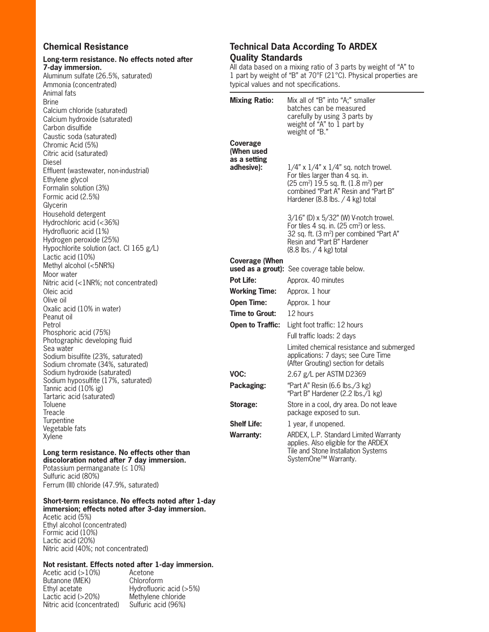#### **Chemical Resistance**

#### **Long-term resistance. No effects noted after 7-day immersion.**

Aluminum sulfate (26.5%, saturated) Ammonia (concentrated) Animal fats Brine Calcium chloride (saturated) Calcium hydroxide (saturated) Carbon disulfide Caustic soda (saturated) Chromic Acid (5%) Citric acid (saturated) Diesel Effluent (wastewater, non-industrial) Ethylene glycol Formalin solution (3%) Formic acid (2.5%) Glycerin Household detergent Hydrochloric acid (<36%) Hydrofluoric acid (1%) Hydrogen peroxide (25%) Hypochlorite solution (act. Cl 165 g/L) Lactic acid (10%) Methyl alcohol (<5NR%) Moor water Nitric acid (<1NR%; not concentrated) Oleic acid Olive oil Oxalic acid (10% in water) Peanut oil Petrol Phosphoric acid (75%) Photographic developing fluid Sea water Sodium bisulfite (23%, saturated) Sodium chromate (34%, saturated) Sodium hydroxide (saturated) Sodium hyposulfite (17%, saturated) Tannic acid (10% ig) Tartaric acid (saturated) Toluene **Treacle Turpentine** Vegetable fats Xylene

#### Long term resistance. No effects other tha **discoloration noted after 7 day immersion.**

Potassium permanganate ( $\leq 10\%$ ) Sulfuric acid (80%) Ferrum (III) chloride (47.9%, saturated)

#### **Short-term resistance. No effects noted after 1-day immersion; effects noted after 3-day immersion.**

Acetic acid (5%) Ethyl alcohol (concentrated) Formic acid (10%) Lactic acid (20%) Nitric acid (40%; not concentrated)

#### **Not resistant. Effects noted after 1-day immersion.**

Acetic acid (>10%) Acetone<br>Butanone (MEK) Chloroform Butanone (MEK)<br>Ethyl acetate Ethyl acetate Hydrofluoric acid (>5%)<br>Lactic acid (>20%) Methylene chloride Methylene chloride<br>Sulfuric acid (96%) Nitric acid (concentrated)

#### **Technical Data According To ARDEX Quality Standards**

All data based on a mixing ratio of 3 parts by weight of "A" to 1 part by weight of "B" at 70°F (21°C). Physical properties are typical values and not specifications.

|    | <b>Mixing Ratio:</b>                                 | Mix all of "B" into "A;" smaller<br>batches can be measured<br>carefully by using 3 parts by<br>weight of "A" to 1 part by<br>weight of "B."                                                                               |
|----|------------------------------------------------------|----------------------------------------------------------------------------------------------------------------------------------------------------------------------------------------------------------------------------|
|    | Coverage<br>(When used<br>as a setting<br>adhesive): | $1/4$ " x $1/4$ " x $1/4$ " sq. notch trowel.<br>For tiles larger than 4 sq. in.<br>$(25 \text{ cm}^2)$ 19.5 sq. ft. $(1.8 \text{ m}^2)$ per<br>combined "Part A" Resin and "Part B"<br>Hardener (8.8 lbs. $/$ 4 kg) total |
|    |                                                      | 3/16" (D) x 5/32" (W) V-notch trowel.<br>For tiles 4 sq. in. (25 cm <sup>2</sup> ) or less.<br>32 sq. ft. (3 m <sup>2</sup> ) per combined "Part A"<br>Resin and "Part B" Hardener<br>(8.8 lbs. / 4 kg) total              |
|    | <b>Coverage (When</b>                                | used as a grout): See coverage table below.                                                                                                                                                                                |
|    | <b>Pot Life:</b>                                     | Approx. 40 minutes                                                                                                                                                                                                         |
|    | <b>Working Time:</b>                                 |                                                                                                                                                                                                                            |
|    | <b>Open Time:</b>                                    | Approx. 1 hour<br>Approx. 1 hour                                                                                                                                                                                           |
|    | Time to Grout:                                       | 12 hours                                                                                                                                                                                                                   |
|    |                                                      |                                                                                                                                                                                                                            |
|    | <b>Open to Traffic:</b>                              | Light foot traffic: 12 hours                                                                                                                                                                                               |
|    |                                                      | Full traffic loads: 2 days<br>Limited chemical resistance and submerged<br>applications: 7 days; see Cure Time<br>(After Grouting) section for details                                                                     |
|    | VOC:                                                 | 2.67 g/L per ASTM D2369                                                                                                                                                                                                    |
|    | Packaging:                                           | "Part A" Resin (6.6 lbs./3 kg)<br>"Part B" Hardener (2.2 lbs./1 kg)                                                                                                                                                        |
|    | Storage:                                             | Store in a cool, dry area. Do not leave<br>package exposed to sun.                                                                                                                                                         |
|    | <b>Shelf Life:</b>                                   | 1 year, if unopened.                                                                                                                                                                                                       |
|    | <b>Warranty:</b>                                     | ARDEX, L.P. Standard Limited Warranty<br>applies. Also eligible for the ARDEX                                                                                                                                              |
| ın |                                                      | Tile and Stone Installation Systems<br>SystemOne™ Warranty.                                                                                                                                                                |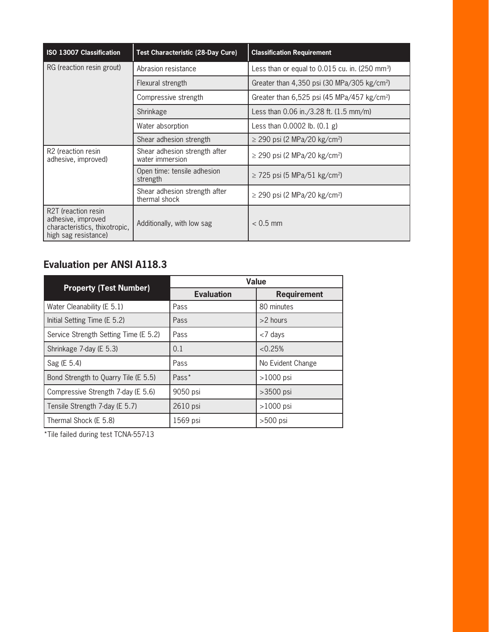| <b>ISO 13007 Classification</b>                                                                    | <b>Test Characteristic (28-Day Cure)</b>                        | <b>Classification Requirement</b>                            |  |  |  |  |
|----------------------------------------------------------------------------------------------------|-----------------------------------------------------------------|--------------------------------------------------------------|--|--|--|--|
| RG (reaction resin grout)                                                                          | Abrasion resistance                                             | Less than or equal to $0.015$ cu. in. (250 mm <sup>3</sup> ) |  |  |  |  |
|                                                                                                    | Flexural strength                                               | Greater than 4,350 psi (30 MPa/305 kg/cm <sup>2</sup> )      |  |  |  |  |
|                                                                                                    | Compressive strength                                            | Greater than $6,525$ psi (45 MPa/457 kg/cm <sup>2</sup> )    |  |  |  |  |
|                                                                                                    | Less than $0.06$ in./3.28 ft. $(1.5 \text{ mm/m})$<br>Shrinkage |                                                              |  |  |  |  |
|                                                                                                    | Water absorption                                                | Less than $0.0002$ lb. $(0.1 g)$                             |  |  |  |  |
|                                                                                                    | Shear adhesion strength                                         | $\geq$ 290 psi (2 MPa/20 kg/cm <sup>2</sup> )                |  |  |  |  |
| R <sub>2</sub> (reaction resin<br>adhesive, improved)                                              | Shear adhesion strength after<br>water immersion                | $\geq$ 290 psi (2 MPa/20 kg/cm <sup>2</sup> )                |  |  |  |  |
|                                                                                                    | Open time: tensile adhesion<br>strength                         | ≥ 725 psi (5 MPa/51 kg/cm <sup>2</sup> )                     |  |  |  |  |
|                                                                                                    | Shear adhesion strength after<br>thermal shock                  | ≥ 290 psi (2 MPa/20 kg/cm <sup>2</sup> )                     |  |  |  |  |
| R2T (reaction resin<br>adhesive, improved<br>characteristics, thixotropic,<br>high sag resistance) | Additionally, with low sag                                      | $< 0.5$ mm                                                   |  |  |  |  |

# **Evaluation per ANSI A118.3**

|                                       | <b>Value</b>      |                    |  |  |  |
|---------------------------------------|-------------------|--------------------|--|--|--|
| <b>Property (Test Number)</b>         | <b>Evaluation</b> | <b>Requirement</b> |  |  |  |
| Water Cleanability (E 5.1)            | Pass              | 80 minutes         |  |  |  |
| Initial Setting Time (E 5.2)          | Pass              | $>2$ hours         |  |  |  |
| Service Strength Setting Time (E 5.2) | Pass              | $<$ 7 days         |  |  |  |
| Shrinkage 7-day (E 5.3)               | 0.1               | < 0.25%            |  |  |  |
| Sag (E 5.4)                           | Pass              | No Evident Change  |  |  |  |
| Bond Strength to Quarry Tile (E 5.5)  | Pass*             | $>1000$ psi        |  |  |  |
| Compressive Strength 7-day (E 5.6)    | 9050 psi          | $>3500$ psi        |  |  |  |
| Tensile Strength 7-day (E 5.7)        | 2610 psi          | $>1000$ psi        |  |  |  |
| Thermal Shock (E 5.8)                 | 1569 psi          | $>500$ psi         |  |  |  |

\*Tile failed during test TCNA-557-13